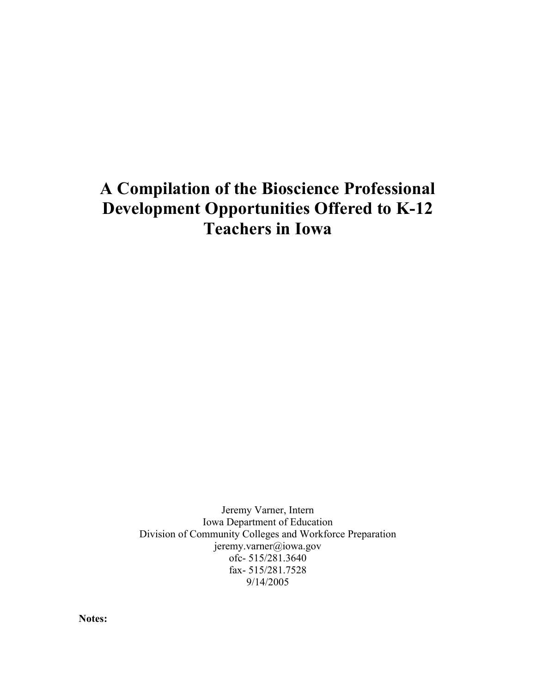# **A Compilation of the Bioscience Professional Development Opportunities Offered to K-12 Teachers in Iowa**

Jeremy Varner, Intern Iowa Department of Education Division of Community Colleges and Workforce Preparation jeremy.varner@iowa.gov ofc- 515/281.3640 fax- 515/281.7528 9/14/2005

**Notes:**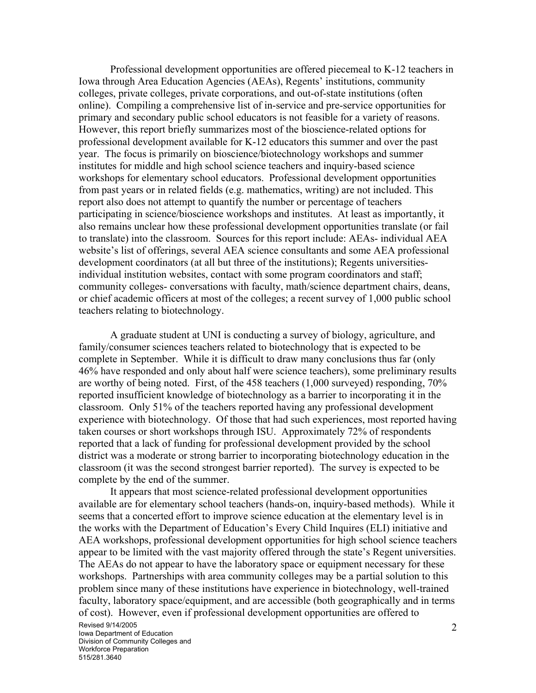Professional development opportunities are offered piecemeal to K-12 teachers in Iowa through Area Education Agencies (AEAs), Regents' institutions, community colleges, private colleges, private corporations, and out-of-state institutions (often online). Compiling a comprehensive list of in-service and pre-service opportunities for primary and secondary public school educators is not feasible for a variety of reasons. However, this report briefly summarizes most of the bioscience-related options for professional development available for K-12 educators this summer and over the past year. The focus is primarily on bioscience/biotechnology workshops and summer institutes for middle and high school science teachers and inquiry-based science workshops for elementary school educators. Professional development opportunities from past years or in related fields (e.g. mathematics, writing) are not included. This report also does not attempt to quantify the number or percentage of teachers participating in science/bioscience workshops and institutes. At least as importantly, it also remains unclear how these professional development opportunities translate (or fail to translate) into the classroom. Sources for this report include: AEAs- individual AEA website's list of offerings, several AEA science consultants and some AEA professional development coordinators (at all but three of the institutions); Regents universitiesindividual institution websites, contact with some program coordinators and staff; community colleges- conversations with faculty, math/science department chairs, deans, or chief academic officers at most of the colleges; a recent survey of 1,000 public school teachers relating to biotechnology.

A graduate student at UNI is conducting a survey of biology, agriculture, and family/consumer sciences teachers related to biotechnology that is expected to be complete in September. While it is difficult to draw many conclusions thus far (only 46% have responded and only about half were science teachers), some preliminary results are worthy of being noted. First, of the 458 teachers (1,000 surveyed) responding, 70% reported insufficient knowledge of biotechnology as a barrier to incorporating it in the classroom. Only 51% of the teachers reported having any professional development experience with biotechnology. Of those that had such experiences, most reported having taken courses or short workshops through ISU. Approximately 72% of respondents reported that a lack of funding for professional development provided by the school district was a moderate or strong barrier to incorporating biotechnology education in the classroom (it was the second strongest barrier reported). The survey is expected to be complete by the end of the summer.

It appears that most science-related professional development opportunities available are for elementary school teachers (hands-on, inquiry-based methods). While it seems that a concerted effort to improve science education at the elementary level is in the works with the Department of Education's Every Child Inquires (ELI) initiative and AEA workshops, professional development opportunities for high school science teachers appear to be limited with the vast majority offered through the state's Regent universities. The AEAs do not appear to have the laboratory space or equipment necessary for these workshops. Partnerships with area community colleges may be a partial solution to this problem since many of these institutions have experience in biotechnology, well-trained faculty, laboratory space/equipment, and are accessible (both geographically and in terms of cost). However, even if professional development opportunities are offered to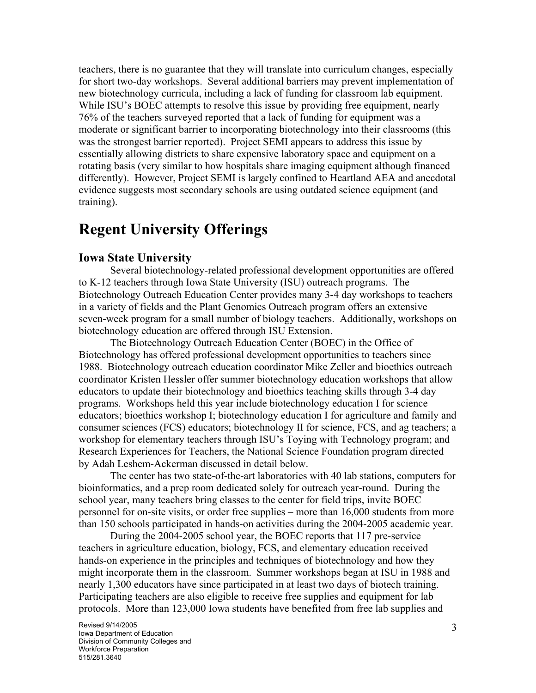teachers, there is no guarantee that they will translate into curriculum changes, especially for short two-day workshops. Several additional barriers may prevent implementation of new biotechnology curricula, including a lack of funding for classroom lab equipment. While ISU's BOEC attempts to resolve this issue by providing free equipment, nearly 76% of the teachers surveyed reported that a lack of funding for equipment was a moderate or significant barrier to incorporating biotechnology into their classrooms (this was the strongest barrier reported). Project SEMI appears to address this issue by essentially allowing districts to share expensive laboratory space and equipment on a rotating basis (very similar to how hospitals share imaging equipment although financed differently). However, Project SEMI is largely confined to Heartland AEA and anecdotal evidence suggests most secondary schools are using outdated science equipment (and training).

# **Regent University Offerings**

### **Iowa State University**

Several biotechnology-related professional development opportunities are offered to K-12 teachers through Iowa State University (ISU) outreach programs. The Biotechnology Outreach Education Center provides many 3-4 day workshops to teachers in a variety of fields and the Plant Genomics Outreach program offers an extensive seven-week program for a small number of biology teachers. Additionally, workshops on biotechnology education are offered through ISU Extension.

The Biotechnology Outreach Education Center (BOEC) in the Office of Biotechnology has offered professional development opportunities to teachers since 1988. Biotechnology outreach education coordinator Mike Zeller and bioethics outreach coordinator Kristen Hessler offer summer biotechnology education workshops that allow educators to update their biotechnology and bioethics teaching skills through 3-4 day programs. Workshops held this year include biotechnology education I for science educators; bioethics workshop I; biotechnology education I for agriculture and family and consumer sciences (FCS) educators; biotechnology II for science, FCS, and ag teachers; a workshop for elementary teachers through ISU's Toying with Technology program; and Research Experiences for Teachers, the National Science Foundation program directed by Adah Leshem-Ackerman discussed in detail below.

The center has two state-of-the-art laboratories with 40 lab stations, computers for bioinformatics, and a prep room dedicated solely for outreach year-round. During the school year, many teachers bring classes to the center for field trips, invite BOEC personnel for on-site visits, or order free supplies – more than 16,000 students from more than 150 schools participated in hands-on activities during the 2004-2005 academic year.

During the 2004-2005 school year, the BOEC reports that 117 pre-service teachers in agriculture education, biology, FCS, and elementary education received hands-on experience in the principles and techniques of biotechnology and how they might incorporate them in the classroom. Summer workshops began at ISU in 1988 and nearly 1,300 educators have since participated in at least two days of biotech training. Participating teachers are also eligible to receive free supplies and equipment for lab protocols. More than 123,000 Iowa students have benefited from free lab supplies and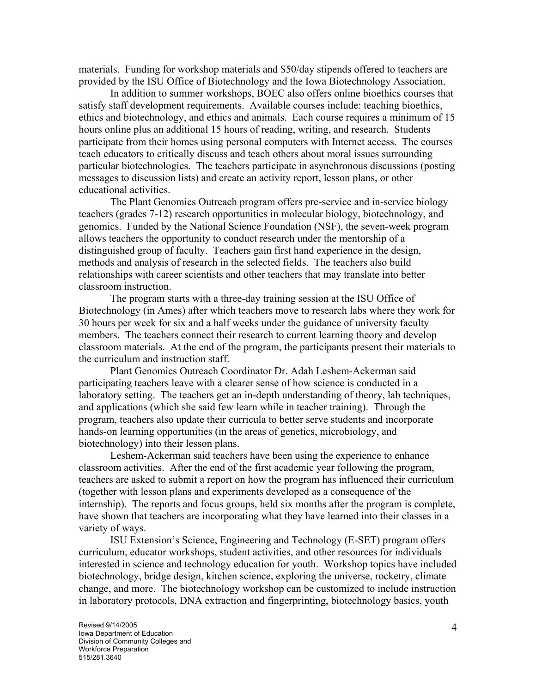materials. Funding for workshop materials and \$50/day stipends offered to teachers are provided by the ISU Office of Biotechnology and the Iowa Biotechnology Association.

In addition to summer workshops, BOEC also offers online bioethics courses that satisfy staff development requirements. Available courses include: teaching bioethics, ethics and biotechnology, and ethics and animals. Each course requires a minimum of 15 hours online plus an additional 15 hours of reading, writing, and research. Students participate from their homes using personal computers with Internet access. The courses teach educators to critically discuss and teach others about moral issues surrounding particular biotechnologies. The teachers participate in asynchronous discussions (posting messages to discussion lists) and create an activity report, lesson plans, or other educational activities.

The Plant Genomics Outreach program offers pre-service and in-service biology teachers (grades 7-12) research opportunities in molecular biology, biotechnology, and genomics. Funded by the National Science Foundation (NSF), the seven-week program allows teachers the opportunity to conduct research under the mentorship of a distinguished group of faculty. Teachers gain first hand experience in the design, methods and analysis of research in the selected fields. The teachers also build relationships with career scientists and other teachers that may translate into better classroom instruction.

The program starts with a three-day training session at the ISU Office of Biotechnology (in Ames) after which teachers move to research labs where they work for 30 hours per week for six and a half weeks under the guidance of university faculty members. The teachers connect their research to current learning theory and develop classroom materials. At the end of the program, the participants present their materials to the curriculum and instruction staff.

Plant Genomics Outreach Coordinator Dr. Adah Leshem-Ackerman said participating teachers leave with a clearer sense of how science is conducted in a laboratory setting. The teachers get an in-depth understanding of theory, lab techniques, and applications (which she said few learn while in teacher training). Through the program, teachers also update their curricula to better serve students and incorporate hands-on learning opportunities (in the areas of genetics, microbiology, and biotechnology) into their lesson plans.

Leshem-Ackerman said teachers have been using the experience to enhance classroom activities. After the end of the first academic year following the program, teachers are asked to submit a report on how the program has influenced their curriculum (together with lesson plans and experiments developed as a consequence of the internship). The reports and focus groups, held six months after the program is complete, have shown that teachers are incorporating what they have learned into their classes in a variety of ways.

ISU Extension's Science, Engineering and Technology (E-SET) program offers curriculum, educator workshops, student activities, and other resources for individuals interested in science and technology education for youth. Workshop topics have included biotechnology, bridge design, kitchen science, exploring the universe, rocketry, climate change, and more. The biotechnology workshop can be customized to include instruction in laboratory protocols, DNA extraction and fingerprinting, biotechnology basics, youth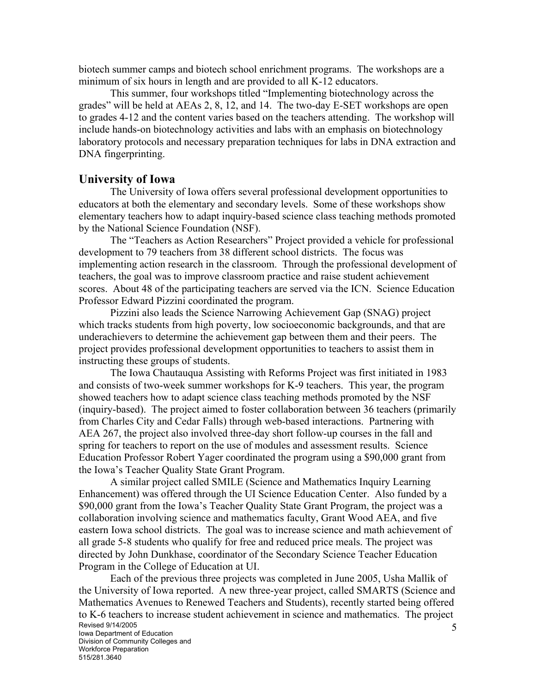biotech summer camps and biotech school enrichment programs. The workshops are a minimum of six hours in length and are provided to all K-12 educators.

This summer, four workshops titled "Implementing biotechnology across the grades" will be held at AEAs 2, 8, 12, and 14. The two-day E-SET workshops are open to grades 4-12 and the content varies based on the teachers attending. The workshop will include hands-on biotechnology activities and labs with an emphasis on biotechnology laboratory protocols and necessary preparation techniques for labs in DNA extraction and DNA fingerprinting.

### **University of Iowa**

The University of Iowa offers several professional development opportunities to educators at both the elementary and secondary levels. Some of these workshops show elementary teachers how to adapt inquiry-based science class teaching methods promoted by the National Science Foundation (NSF).

The "Teachers as Action Researchers" Project provided a vehicle for professional development to 79 teachers from 38 different school districts. The focus was implementing action research in the classroom. Through the professional development of teachers, the goal was to improve classroom practice and raise student achievement scores. About 48 of the participating teachers are served via the ICN. Science Education Professor Edward Pizzini coordinated the program.

Pizzini also leads the Science Narrowing Achievement Gap (SNAG) project which tracks students from high poverty, low socioeconomic backgrounds, and that are underachievers to determine the achievement gap between them and their peers. The project provides professional development opportunities to teachers to assist them in instructing these groups of students.

The Iowa Chautauqua Assisting with Reforms Project was first initiated in 1983 and consists of two-week summer workshops for K-9 teachers. This year, the program showed teachers how to adapt science class teaching methods promoted by the NSF (inquiry-based). The project aimed to foster collaboration between 36 teachers (primarily from Charles City and Cedar Falls) through web-based interactions. Partnering with AEA 267, the project also involved three-day short follow-up courses in the fall and spring for teachers to report on the use of modules and assessment results. Science Education Professor Robert Yager coordinated the program using a \$90,000 grant from the Iowa's Teacher Quality State Grant Program.

A similar project called SMILE (Science and Mathematics Inquiry Learning Enhancement) was offered through the UI Science Education Center. Also funded by a \$90,000 grant from the Iowa's Teacher Quality State Grant Program, the project was a collaboration involving science and mathematics faculty, Grant Wood AEA, and five eastern Iowa school districts. The goal was to increase science and math achievement of all grade 5-8 students who qualify for free and reduced price meals. The project was directed by John Dunkhase, coordinator of the Secondary Science Teacher Education Program in the College of Education at UI.

Revised 9/14/2005 Iowa Department of Education Division of Community Colleges and Workforce Preparation 515/281.3640 5 Each of the previous three projects was completed in June 2005, Usha Mallik of the University of Iowa reported. A new three-year project, called SMARTS (Science and Mathematics Avenues to Renewed Teachers and Students), recently started being offered to K-6 teachers to increase student achievement in science and mathematics. The project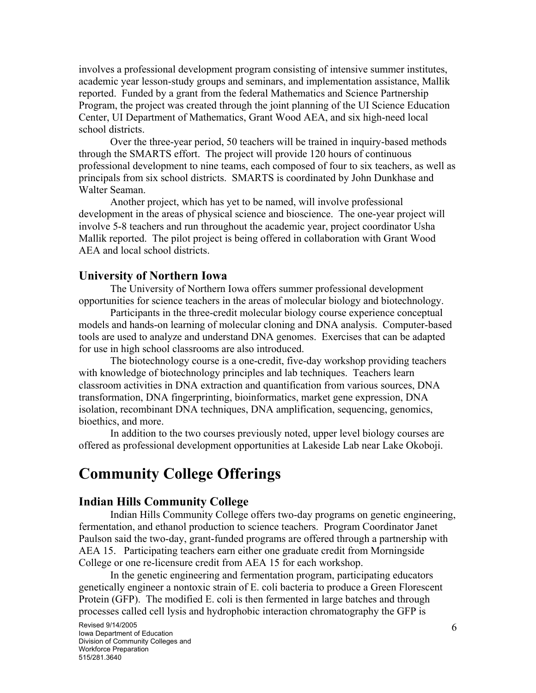involves a professional development program consisting of intensive summer institutes, academic year lesson-study groups and seminars, and implementation assistance, Mallik reported. Funded by a grant from the federal Mathematics and Science Partnership Program, the project was created through the joint planning of the UI Science Education Center, UI Department of Mathematics, Grant Wood AEA, and six high-need local school districts.

Over the three-year period, 50 teachers will be trained in inquiry-based methods through the SMARTS effort. The project will provide 120 hours of continuous professional development to nine teams, each composed of four to six teachers, as well as principals from six school districts. SMARTS is coordinated by John Dunkhase and Walter Seaman.

Another project, which has yet to be named, will involve professional development in the areas of physical science and bioscience. The one-year project will involve 5-8 teachers and run throughout the academic year, project coordinator Usha Mallik reported. The pilot project is being offered in collaboration with Grant Wood AEA and local school districts.

#### **University of Northern Iowa**

The University of Northern Iowa offers summer professional development opportunities for science teachers in the areas of molecular biology and biotechnology.

Participants in the three-credit molecular biology course experience conceptual models and hands-on learning of molecular cloning and DNA analysis. Computer-based tools are used to analyze and understand DNA genomes. Exercises that can be adapted for use in high school classrooms are also introduced.

The biotechnology course is a one-credit, five-day workshop providing teachers with knowledge of biotechnology principles and lab techniques. Teachers learn classroom activities in DNA extraction and quantification from various sources, DNA transformation, DNA fingerprinting, bioinformatics, market gene expression, DNA isolation, recombinant DNA techniques, DNA amplification, sequencing, genomics, bioethics, and more.

In addition to the two courses previously noted, upper level biology courses are offered as professional development opportunities at Lakeside Lab near Lake Okoboji.

## **Community College Offerings**

#### **Indian Hills Community College**

Indian Hills Community College offers two-day programs on genetic engineering, fermentation, and ethanol production to science teachers. Program Coordinator Janet Paulson said the two-day, grant-funded programs are offered through a partnership with AEA 15. Participating teachers earn either one graduate credit from Morningside College or one re-licensure credit from AEA 15 for each workshop.

In the genetic engineering and fermentation program, participating educators genetically engineer a nontoxic strain of E. coli bacteria to produce a Green Florescent Protein (GFP). The modified E. coli is then fermented in large batches and through processes called cell lysis and hydrophobic interaction chromatography the GFP is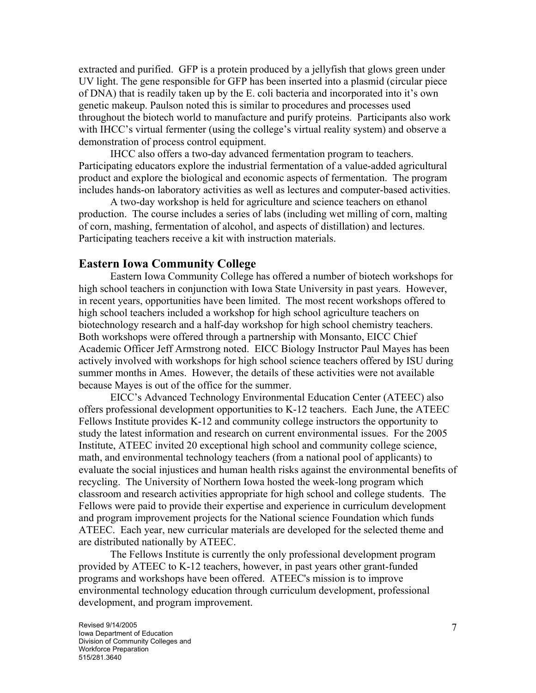extracted and purified. GFP is a protein produced by a jellyfish that glows green under UV light. The gene responsible for GFP has been inserted into a plasmid (circular piece of DNA) that is readily taken up by the E. coli bacteria and incorporated into it's own genetic makeup. Paulson noted this is similar to procedures and processes used throughout the biotech world to manufacture and purify proteins. Participants also work with IHCC's virtual fermenter (using the college's virtual reality system) and observe a demonstration of process control equipment.

IHCC also offers a two-day advanced fermentation program to teachers. Participating educators explore the industrial fermentation of a value-added agricultural product and explore the biological and economic aspects of fermentation. The program includes hands-on laboratory activities as well as lectures and computer-based activities.

A two-day workshop is held for agriculture and science teachers on ethanol production. The course includes a series of labs (including wet milling of corn, malting of corn, mashing, fermentation of alcohol, and aspects of distillation) and lectures. Participating teachers receive a kit with instruction materials.

#### **Eastern Iowa Community College**

Eastern Iowa Community College has offered a number of biotech workshops for high school teachers in conjunction with Iowa State University in past years. However, in recent years, opportunities have been limited. The most recent workshops offered to high school teachers included a workshop for high school agriculture teachers on biotechnology research and a half-day workshop for high school chemistry teachers. Both workshops were offered through a partnership with Monsanto, EICC Chief Academic Officer Jeff Armstrong noted. EICC Biology Instructor Paul Mayes has been actively involved with workshops for high school science teachers offered by ISU during summer months in Ames. However, the details of these activities were not available because Mayes is out of the office for the summer.

EICC's Advanced Technology Environmental Education Center (ATEEC) also offers professional development opportunities to K-12 teachers. Each June, the ATEEC Fellows Institute provides K-12 and community college instructors the opportunity to study the latest information and research on current environmental issues. For the 2005 Institute, ATEEC invited 20 exceptional high school and community college science, math, and environmental technology teachers (from a national pool of applicants) to evaluate the social injustices and human health risks against the environmental benefits of recycling. The University of Northern Iowa hosted the week-long program which classroom and research activities appropriate for high school and college students. The Fellows were paid to provide their expertise and experience in curriculum development and program improvement projects for the National science Foundation which funds ATEEC. Each year, new curricular materials are developed for the selected theme and are distributed nationally by ATEEC.

The Fellows Institute is currently the only professional development program provided by ATEEC to K-12 teachers, however, in past years other grant-funded programs and workshops have been offered. ATEEC's mission is to improve environmental technology education through curriculum development, professional development, and program improvement.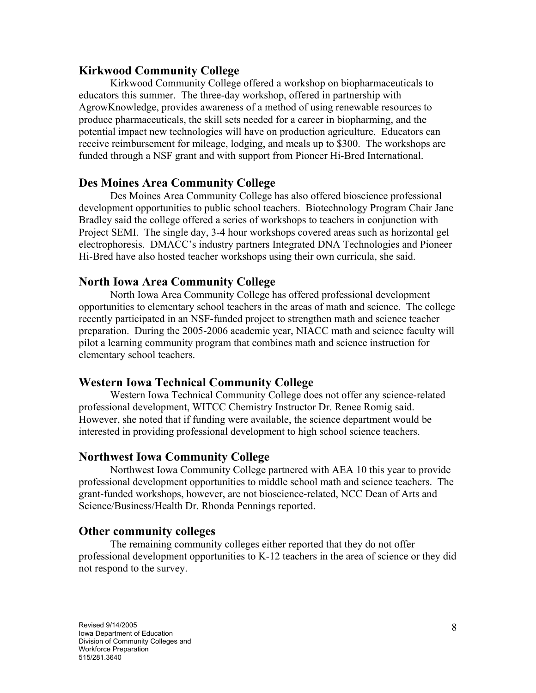#### **Kirkwood Community College**

Kirkwood Community College offered a workshop on biopharmaceuticals to educators this summer. The three-day workshop, offered in partnership with AgrowKnowledge, provides awareness of a method of using renewable resources to produce pharmaceuticals, the skill sets needed for a career in biopharming, and the potential impact new technologies will have on production agriculture. Educators can receive reimbursement for mileage, lodging, and meals up to \$300. The workshops are funded through a NSF grant and with support from Pioneer Hi-Bred International.

#### **Des Moines Area Community College**

Des Moines Area Community College has also offered bioscience professional development opportunities to public school teachers. Biotechnology Program Chair Jane Bradley said the college offered a series of workshops to teachers in conjunction with Project SEMI. The single day, 3-4 hour workshops covered areas such as horizontal gel electrophoresis. DMACC's industry partners Integrated DNA Technologies and Pioneer Hi-Bred have also hosted teacher workshops using their own curricula, she said.

### **North Iowa Area Community College**

North Iowa Area Community College has offered professional development opportunities to elementary school teachers in the areas of math and science. The college recently participated in an NSF-funded project to strengthen math and science teacher preparation. During the 2005-2006 academic year, NIACC math and science faculty will pilot a learning community program that combines math and science instruction for elementary school teachers.

### **Western Iowa Technical Community College**

Western Iowa Technical Community College does not offer any science-related professional development, WITCC Chemistry Instructor Dr. Renee Romig said. However, she noted that if funding were available, the science department would be interested in providing professional development to high school science teachers.

### **Northwest Iowa Community College**

Northwest Iowa Community College partnered with AEA 10 this year to provide professional development opportunities to middle school math and science teachers. The grant-funded workshops, however, are not bioscience-related, NCC Dean of Arts and Science/Business/Health Dr. Rhonda Pennings reported.

#### **Other community colleges**

The remaining community colleges either reported that they do not offer professional development opportunities to K-12 teachers in the area of science or they did not respond to the survey.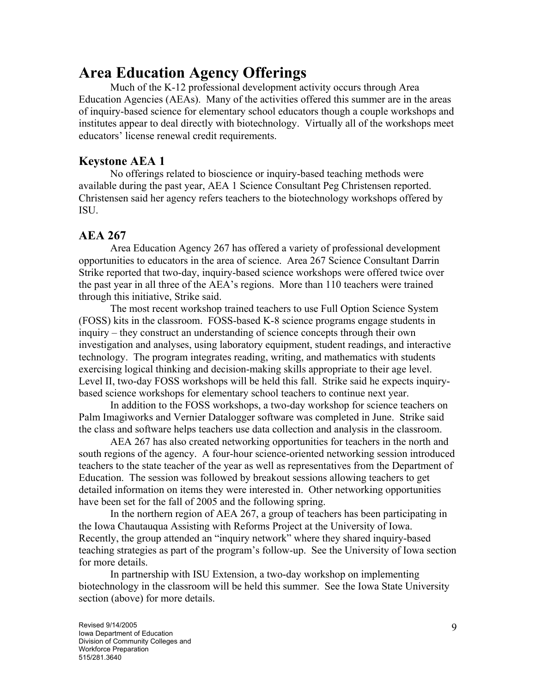## **Area Education Agency Offerings**

Much of the K-12 professional development activity occurs through Area Education Agencies (AEAs). Many of the activities offered this summer are in the areas of inquiry-based science for elementary school educators though a couple workshops and institutes appear to deal directly with biotechnology. Virtually all of the workshops meet educators' license renewal credit requirements.

## **Keystone AEA 1**

No offerings related to bioscience or inquiry-based teaching methods were available during the past year, AEA 1 Science Consultant Peg Christensen reported. Christensen said her agency refers teachers to the biotechnology workshops offered by ISU.

## **AEA 267**

Area Education Agency 267 has offered a variety of professional development opportunities to educators in the area of science. Area 267 Science Consultant Darrin Strike reported that two-day, inquiry-based science workshops were offered twice over the past year in all three of the AEA's regions. More than 110 teachers were trained through this initiative, Strike said.

The most recent workshop trained teachers to use Full Option Science System (FOSS) kits in the classroom. FOSS-based K-8 science programs engage students in inquiry – they construct an understanding of science concepts through their own investigation and analyses, using laboratory equipment, student readings, and interactive technology. The program integrates reading, writing, and mathematics with students exercising logical thinking and decision-making skills appropriate to their age level. Level II, two-day FOSS workshops will be held this fall. Strike said he expects inquirybased science workshops for elementary school teachers to continue next year.

In addition to the FOSS workshops, a two-day workshop for science teachers on Palm Imagiworks and Vernier Datalogger software was completed in June. Strike said the class and software helps teachers use data collection and analysis in the classroom.

AEA 267 has also created networking opportunities for teachers in the north and south regions of the agency. A four-hour science-oriented networking session introduced teachers to the state teacher of the year as well as representatives from the Department of Education. The session was followed by breakout sessions allowing teachers to get detailed information on items they were interested in. Other networking opportunities have been set for the fall of 2005 and the following spring.

In the northern region of AEA 267, a group of teachers has been participating in the Iowa Chautauqua Assisting with Reforms Project at the University of Iowa. Recently, the group attended an "inquiry network" where they shared inquiry-based teaching strategies as part of the program's follow-up. See the University of Iowa section for more details.

In partnership with ISU Extension, a two-day workshop on implementing biotechnology in the classroom will be held this summer. See the Iowa State University section (above) for more details.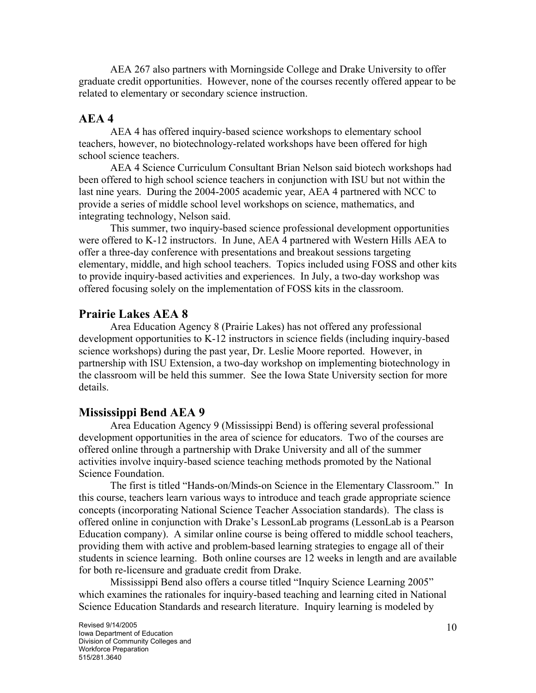AEA 267 also partners with Morningside College and Drake University to offer graduate credit opportunities. However, none of the courses recently offered appear to be related to elementary or secondary science instruction.

#### **AEA 4**

AEA 4 has offered inquiry-based science workshops to elementary school teachers, however, no biotechnology-related workshops have been offered for high school science teachers.

AEA 4 Science Curriculum Consultant Brian Nelson said biotech workshops had been offered to high school science teachers in conjunction with ISU but not within the last nine years. During the 2004-2005 academic year, AEA 4 partnered with NCC to provide a series of middle school level workshops on science, mathematics, and integrating technology, Nelson said.

This summer, two inquiry-based science professional development opportunities were offered to K-12 instructors. In June, AEA 4 partnered with Western Hills AEA to offer a three-day conference with presentations and breakout sessions targeting elementary, middle, and high school teachers. Topics included using FOSS and other kits to provide inquiry-based activities and experiences. In July, a two-day workshop was offered focusing solely on the implementation of FOSS kits in the classroom.

### **Prairie Lakes AEA 8**

Area Education Agency 8 (Prairie Lakes) has not offered any professional development opportunities to K-12 instructors in science fields (including inquiry-based science workshops) during the past year, Dr. Leslie Moore reported. However, in partnership with ISU Extension, a two-day workshop on implementing biotechnology in the classroom will be held this summer. See the Iowa State University section for more details.

### **Mississippi Bend AEA 9**

Area Education Agency 9 (Mississippi Bend) is offering several professional development opportunities in the area of science for educators. Two of the courses are offered online through a partnership with Drake University and all of the summer activities involve inquiry-based science teaching methods promoted by the National Science Foundation.

The first is titled "Hands-on/Minds-on Science in the Elementary Classroom." In this course, teachers learn various ways to introduce and teach grade appropriate science concepts (incorporating National Science Teacher Association standards). The class is offered online in conjunction with Drake's LessonLab programs (LessonLab is a Pearson Education company). A similar online course is being offered to middle school teachers, providing them with active and problem-based learning strategies to engage all of their students in science learning. Both online courses are 12 weeks in length and are available for both re-licensure and graduate credit from Drake.

Mississippi Bend also offers a course titled "Inquiry Science Learning 2005" which examines the rationales for inquiry-based teaching and learning cited in National Science Education Standards and research literature. Inquiry learning is modeled by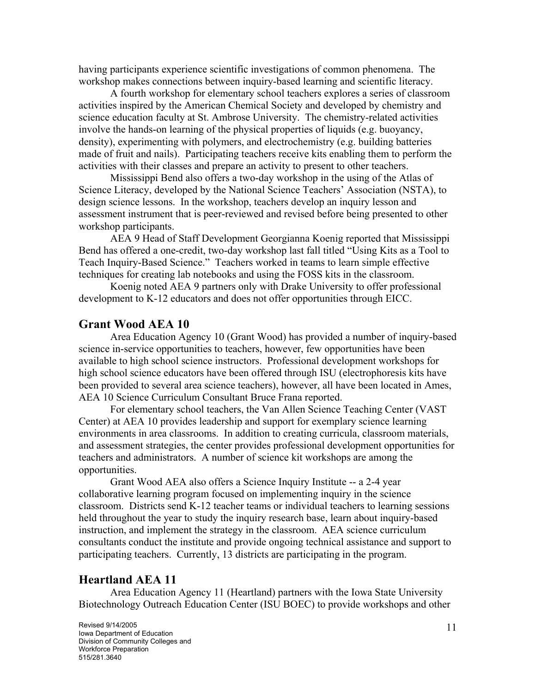having participants experience scientific investigations of common phenomena. The workshop makes connections between inquiry-based learning and scientific literacy.

A fourth workshop for elementary school teachers explores a series of classroom activities inspired by the American Chemical Society and developed by chemistry and science education faculty at St. Ambrose University. The chemistry-related activities involve the hands-on learning of the physical properties of liquids (e.g. buoyancy, density), experimenting with polymers, and electrochemistry (e.g. building batteries made of fruit and nails). Participating teachers receive kits enabling them to perform the activities with their classes and prepare an activity to present to other teachers.

Mississippi Bend also offers a two-day workshop in the using of the Atlas of Science Literacy, developed by the National Science Teachers' Association (NSTA), to design science lessons. In the workshop, teachers develop an inquiry lesson and assessment instrument that is peer-reviewed and revised before being presented to other workshop participants.

AEA 9 Head of Staff Development Georgianna Koenig reported that Mississippi Bend has offered a one-credit, two-day workshop last fall titled "Using Kits as a Tool to Teach Inquiry-Based Science." Teachers worked in teams to learn simple effective techniques for creating lab notebooks and using the FOSS kits in the classroom.

Koenig noted AEA 9 partners only with Drake University to offer professional development to K-12 educators and does not offer opportunities through EICC.

#### **Grant Wood AEA 10**

Area Education Agency 10 (Grant Wood) has provided a number of inquiry-based science in-service opportunities to teachers, however, few opportunities have been available to high school science instructors. Professional development workshops for high school science educators have been offered through ISU (electrophoresis kits have been provided to several area science teachers), however, all have been located in Ames, AEA 10 Science Curriculum Consultant Bruce Frana reported.

For elementary school teachers, the Van Allen Science Teaching Center (VAST Center) at AEA 10 provides leadership and support for exemplary science learning environments in area classrooms. In addition to creating curricula, classroom materials, and assessment strategies, the center provides professional development opportunities for teachers and administrators. A number of science kit workshops are among the opportunities.

Grant Wood AEA also offers a Science Inquiry Institute -- a 2-4 year collaborative learning program focused on implementing inquiry in the science classroom. Districts send K-12 teacher teams or individual teachers to learning sessions held throughout the year to study the inquiry research base, learn about inquiry-based instruction, and implement the strategy in the classroom. AEA science curriculum consultants conduct the institute and provide ongoing technical assistance and support to participating teachers. Currently, 13 districts are participating in the program.

### **Heartland AEA 11**

Area Education Agency 11 (Heartland) partners with the Iowa State University Biotechnology Outreach Education Center (ISU BOEC) to provide workshops and other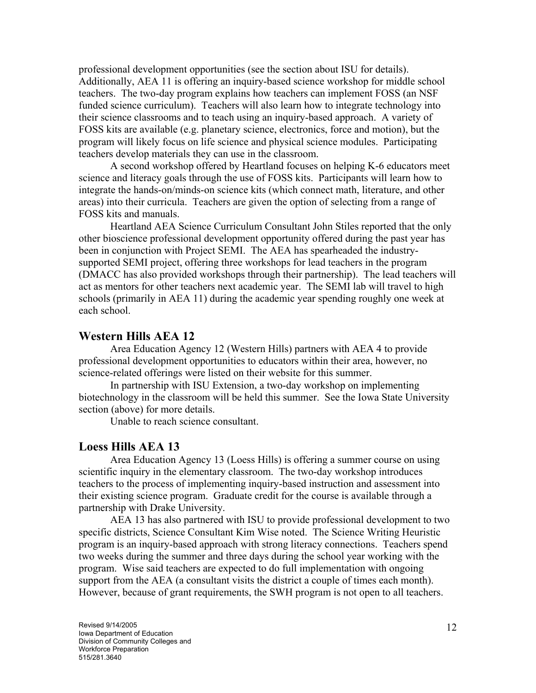professional development opportunities (see the section about ISU for details). Additionally, AEA 11 is offering an inquiry-based science workshop for middle school teachers. The two-day program explains how teachers can implement FOSS (an NSF funded science curriculum). Teachers will also learn how to integrate technology into their science classrooms and to teach using an inquiry-based approach. A variety of FOSS kits are available (e.g. planetary science, electronics, force and motion), but the program will likely focus on life science and physical science modules. Participating teachers develop materials they can use in the classroom.

A second workshop offered by Heartland focuses on helping K-6 educators meet science and literacy goals through the use of FOSS kits. Participants will learn how to integrate the hands-on/minds-on science kits (which connect math, literature, and other areas) into their curricula. Teachers are given the option of selecting from a range of FOSS kits and manuals.

Heartland AEA Science Curriculum Consultant John Stiles reported that the only other bioscience professional development opportunity offered during the past year has been in conjunction with Project SEMI. The AEA has spearheaded the industrysupported SEMI project, offering three workshops for lead teachers in the program (DMACC has also provided workshops through their partnership). The lead teachers will act as mentors for other teachers next academic year. The SEMI lab will travel to high schools (primarily in AEA 11) during the academic year spending roughly one week at each school.

#### **Western Hills AEA 12**

Area Education Agency 12 (Western Hills) partners with AEA 4 to provide professional development opportunities to educators within their area, however, no science-related offerings were listed on their website for this summer.

In partnership with ISU Extension, a two-day workshop on implementing biotechnology in the classroom will be held this summer. See the Iowa State University section (above) for more details.

Unable to reach science consultant.

#### **Loess Hills AEA 13**

Area Education Agency 13 (Loess Hills) is offering a summer course on using scientific inquiry in the elementary classroom. The two-day workshop introduces teachers to the process of implementing inquiry-based instruction and assessment into their existing science program. Graduate credit for the course is available through a partnership with Drake University.

AEA 13 has also partnered with ISU to provide professional development to two specific districts, Science Consultant Kim Wise noted. The Science Writing Heuristic program is an inquiry-based approach with strong literacy connections. Teachers spend two weeks during the summer and three days during the school year working with the program. Wise said teachers are expected to do full implementation with ongoing support from the AEA (a consultant visits the district a couple of times each month). However, because of grant requirements, the SWH program is not open to all teachers.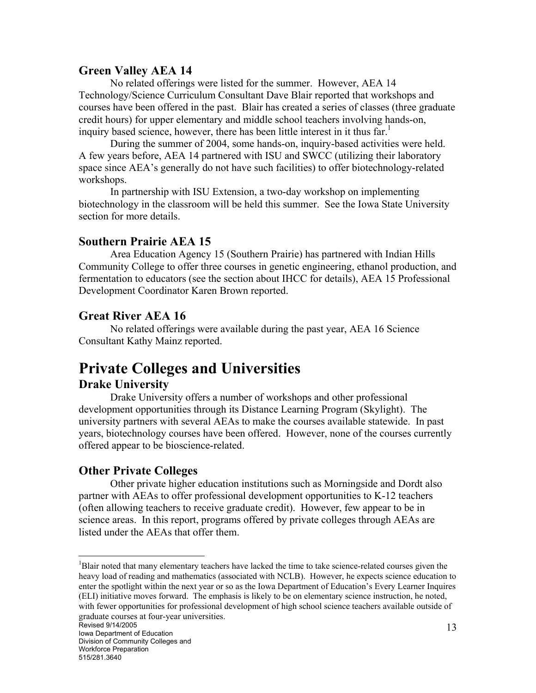## **Green Valley AEA 14**

No related offerings were listed for the summer. However, AEA 14 Technology/Science Curriculum Consultant Dave Blair reported that workshops and courses have been offered in the past. Blair has created a series of classes (three graduate credit hours) for upper elementary and middle school teachers involving hands-on, inquiry based science, however, there has been little interest in it thus far.<sup>[1](#page-12-0)</sup>

During the summer of 2004, some hands-on, inquiry-based activities were held. A few years before, AEA 14 partnered with ISU and SWCC (utilizing their laboratory space since AEA's generally do not have such facilities) to offer biotechnology-related workshops.

In partnership with ISU Extension, a two-day workshop on implementing biotechnology in the classroom will be held this summer. See the Iowa State University section for more details.

## **Southern Prairie AEA 15**

Area Education Agency 15 (Southern Prairie) has partnered with Indian Hills Community College to offer three courses in genetic engineering, ethanol production, and fermentation to educators (see the section about IHCC for details), AEA 15 Professional Development Coordinator Karen Brown reported.

## **Great River AEA 16**

No related offerings were available during the past year, AEA 16 Science Consultant Kathy Mainz reported.

# **Private Colleges and Universities**

## **Drake University**

Drake University offers a number of workshops and other professional development opportunities through its Distance Learning Program (Skylight). The university partners with several AEAs to make the courses available statewide. In past years, biotechnology courses have been offered. However, none of the courses currently offered appear to be bioscience-related.

## **Other Private Colleges**

Other private higher education institutions such as Morningside and Dordt also partner with AEAs to offer professional development opportunities to K-12 teachers (often allowing teachers to receive graduate credit). However, few appear to be in science areas. In this report, programs offered by private colleges through AEAs are listed under the AEAs that offer them.

 $\overline{a}$ 

<span id="page-12-0"></span><sup>&</sup>lt;sup>1</sup>Blair noted that many elementary teachers have lacked the time to take science-related courses given the heavy load of reading and mathematics (associated with NCLB). However, he expects science education to enter the spotlight within the next year or so as the Iowa Department of Education's Every Learner Inquires (ELI) initiative moves forward. The emphasis is likely to be on elementary science instruction, he noted, with fewer opportunities for professional development of high school science teachers available outside of